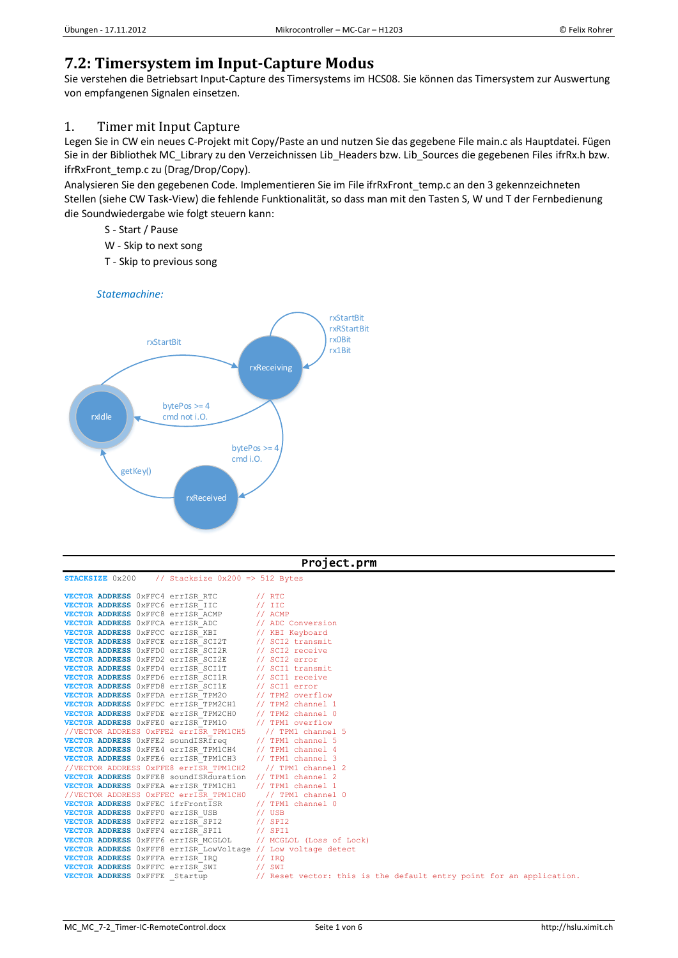# **7.2: Timersystem im Input-Capture Modus**

Sie verstehen die Betriebsart Input-Capture des Timersystems im HCS08. Sie können das Timersystem zur Auswertung von empfangenen Signalen einsetzen.

## 1. Timer mit Input Capture

Legen Sie in CW ein neues C-Projekt mit Copy/Paste an und nutzen Sie das gegebene File main.c als Hauptdatei. Fügen Sie in der Bibliothek MC\_Library zu den Verzeichnissen Lib\_Headers bzw. Lib\_Sources die gegebenen Files ifrRx.h bzw. ifrRxFront\_temp.c zu (Drag/Drop/Copy).

Analysieren Sie den gegebenen Code. Implementieren Sie im File ifrRxFront\_temp.c an den 3 gekennzeichneten Stellen (siehe CW Task-View) die fehlende Funktionalität, so dass man mit den Tasten S, W und T der Fernbedienung die Soundwiedergabe wie folgt steuern kann:

- S Start / Pause
- W Skip to next song
- T Skip to previous song

*Statemachine:*



| Project.prm                                                                                                                                                                                                                                                                                                                                                                                                                                                                                                                                                                                                                                                                                                                                                                                                                                                                                                                                                                                    |                                                                                                                                                                                                                                                       |  |
|------------------------------------------------------------------------------------------------------------------------------------------------------------------------------------------------------------------------------------------------------------------------------------------------------------------------------------------------------------------------------------------------------------------------------------------------------------------------------------------------------------------------------------------------------------------------------------------------------------------------------------------------------------------------------------------------------------------------------------------------------------------------------------------------------------------------------------------------------------------------------------------------------------------------------------------------------------------------------------------------|-------------------------------------------------------------------------------------------------------------------------------------------------------------------------------------------------------------------------------------------------------|--|
| STACKSIZE 0x200 // Stacksize 0x200 => 512 Bytes                                                                                                                                                                                                                                                                                                                                                                                                                                                                                                                                                                                                                                                                                                                                                                                                                                                                                                                                                |                                                                                                                                                                                                                                                       |  |
| VECTOR ADDRESS 0xFFC4 errISR RTC<br>VECTOR ADDRESS OXFFC6 errISR IIC<br>VECTOR ADDRESS OXFFC8 errISR ACMP<br>VECTOR ADDRESS OXFFCA erriSR ADC<br>VECTOR ADDRESS OXFFCC errISR KBI<br>VECTOR ADDRESS 0xFFCE errISR SCI2T // SCI2 transmit<br>VECTOR ADDRESS 0xFFD0 errISR SCI2R // SCI2 receive<br>VECTOR ADDRESS 0xFFD2 errISR SCI2E // SCI2 error<br>VECTOR ADDRESS 0xFFD4 errISR SCI1T // SCI1 transmit<br><b>VECTOR ADDRESS</b> 0xFFD6 errISR SCI1R // SCI1 receive<br>VECTOR ADDRESS OxFFD8 errISR_SCIIE // SCII error<br>VECTOR ADDRESS OxFFD8 errISR_TPM20 // TPM2 overflow<br>VECTOR ADDRESS OxFFDC errISR_TPM2CH1 // TPM2 channel 1<br>VECTOR ADDRESS 0xFFDE errISR TPM2CH0 // TPM2 channel 0<br>VECTOR ADDRESS OXFFEO erriSR TPM10<br>//VECTOR ADDRESS 0xFFE2 errISR TPM1CH5<br><b>VECTOR ADDRESS</b> 0xFFE2 soundISR $\overline{f}$ req // TPM1 channel 5<br><b>VECTOR ADDRESS</b> 0xFFE4 errISR_TPM1CH4 // TPM1 channel 4<br>VECTOR ADDRESS 0xFFE6 errISR TPM1CH3 // TPM1 channel 3 | 1/RTC<br>$//$ IIC<br>$//$ ACMP<br>// ADC Conversion<br>// KBI Keyboard<br>// TPM1 overflow<br>// TPM1 channel 5                                                                                                                                       |  |
| //VECTOR ADDRESS 0xFFE8 errISR TPM1CH2<br><b>VECTOR ADDRESS</b> 0xFFE8 soundISRduration // TPM1 channel 2<br>VECTOR ADDRESS OXFFEA errISR TPM1CH1<br>//VECTOR ADDRESS 0xFFEC errISR TPM1CH0<br>VECTOR ADDRESS OXFFEC ifrFrontISR<br>VECTOR ADDRESS OXFFFO erriSR USB<br>VECTOR ADDRESS 0xFFF2 errISR SPI2<br>VECTOR ADDRESS OXFFF4 errISR SPI1<br>VECTOR ADDRESS OXFFF6 errISR MCGLOL<br>VECTOR ADDRESS 0xFFF8 errISR LowVoltage // Low voltage detect<br>VECTOR ADDRESS OXFFFA errISR IRQ<br>VECTOR ADDRESS OXFFFC errISR_SWI<br>VECTOR ADDRESS OXFFFE Startup                                                                                                                                                                                                                                                                                                                                                                                                                                | // TPM1 channel 2<br>// TPM1 channel 1<br>// TPM1 channel 0<br>// TPM1 channel 0<br>// USB<br>$//$ SPI2<br>$\frac{1}{2}$ SPI1<br>// MCGLOL (Loss of Lock)<br>// IRQ<br>// SWI<br>// Reset vector: this is the default entry point for an application. |  |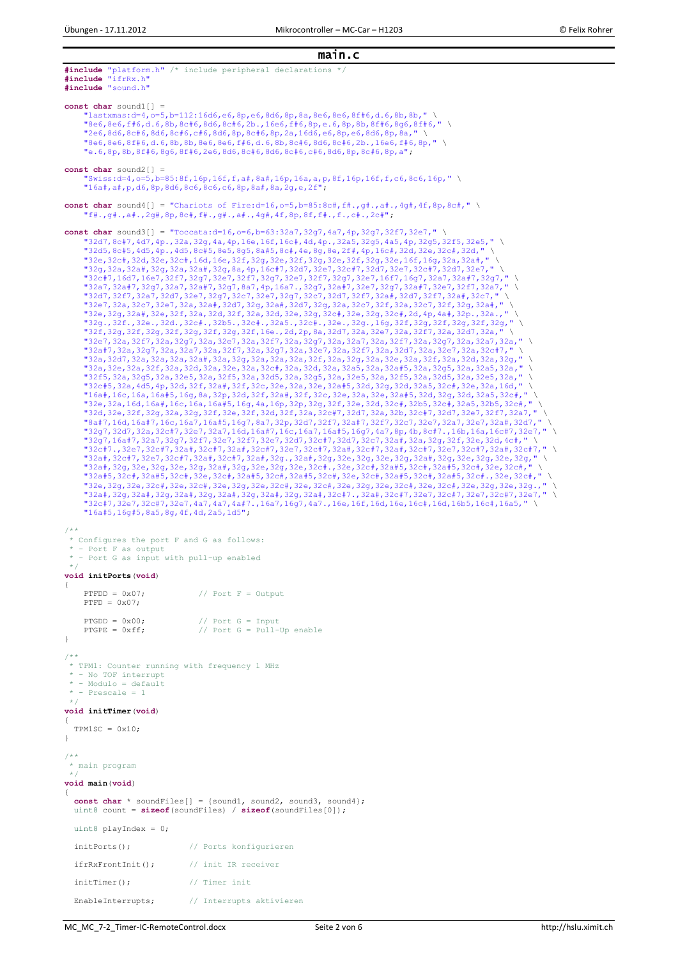main.c

```
#include "platform.h" /* include peripheral declarations */
#include "ifrRx.h"
#include "sound.h"
const char sound1[] = 
       {\tt lastxmas:}d=4,o=5,b=112:16d6,e6,8p,e6,8d6,8p,8a,8e6,8e6,8f#6,d.6,8b,8b,"
 "8e6,8e6,f#6,d.6,8b,8c#6,8d6,8c#6,2b.,16e6,f#6,8p,e.6,8p,8b,8f#6,8g6,8f#6," \
 "2e6,8d6,8c#6,8d6,8c#6,c#6,8d6,8p,8c#6,8p,2a,16d6,e6,8p,e6,8d6,8p,8a," \
      "8e6,8e6,8f#6,d.6,8b,8b,8e6,8e6,f#6,d.6,8b,8c#6,8d6,8c#6,2b.,16e6,f#6,8p," \
      "e.6,8p,8b,8f#6,8g6,8f#6,2e6,8d6,8c#6,8d6,8c#6,c#6,8d6,8p,8c#6,8p,a";

const char sound2[] = 
      \text{Swiss:}\text{d}=4, \text{o}=5, \text{b}=85:8\text{f}, 16\text{p}, 16\text{f}, \text{f}, a\text{*}, 8\text{h}, 16\text{p}, 16\text{a}, a, p, 8f, 16p, 16f, f, c6, 8c6, 16p," \
      "16a#,a#,p,d6,8p,8d6,8c6,8c6,c6,8p,8a#,8a,2g,e,2f";
const char sound4[] = "Chariots of Fire:d=16,o=5,b=85:8c#,f#.,q#.,a#.,4q#,4f,8p,8c#," \setminus "f#.,g#.,a#.,2g#,8p,8c#,f#.,g#.,a#.,4g#,4f,8p,8f,f#.,f.,c#.,2c#";
const char sound3[] = "Toccata:d=16,o=6,b=63:32a7,32q7,4a7,4p,32q7,32f7,32e7,"
       "32d7,8c#7,4d7,4p.,32a,32g,4a,4p,16e,16f,16c#,4d,4p.,32a5,32g5,4a5,4p,32g5,32f5,32e5," \
      "32d5,8c#5,4d5,4p.,4d5,8c#5,8e5,8g5,8a#5,8c#,4e,8g,8e,2f#,4p,16c#,32d,32e,32c#,32d," \
 "32e,32c#,32d,32e,32c#,16d,16e,32f,32g,32e,32f,32g,32e,32f,32g,32e,16f,16g,32a,32a#," \
 "32g,32a,32a#,32g,32a,32a#,32g,8a,4p,16c#7,32d7,32e7,32c#7,32d7,32e7,32c#7,32d7,32e7," \
      "32c#7,16d7,16e7,32f7,32g7,32e7,32f7,32g7,32e7,32f7,32g7,32e7,16f7,16g7,32a7,32a#7,32g7," \
      "32a7,32a#7,32g7,32a7,32a#7,32g7,8a7,4p,16a7.,32g7,32a#7,32e7,32g7,32a#7,32e7,32f7,32a7," \
      "32d7,32f7,32a7,32d7,32e7,32g7,32c7,32e7,32g7,32c7,32d7,32f7,32a#,32d7,32f7,32a#,32c7," \
      "32e7,32a,32c7,32e7,32a,32a#,32d7,32g,32a#,32d7,32g,32a,32c7,32f,32a,32c7,32f,32g,32a#," \
      "32e,32g,32a#,32e,32f,32a,32d,32f,32a,32d,32e,32g,32c#,32e,32g,32c#,2d,4p,4a#,32p.,32a.," \
 "32g.,32f.,32e.,32d.,32c#.,32b5.,32c#.,32a5.,32c#.,32e.,32g.,16g,32f,32g,32f,32g,32f,32g," \
 "32f,32g,32f,32g,32f,32g,32f,32g,32f,16e.,2d,2p,8a,32d7,32a,32e7,32a,32f7,32a,32d7,32a," \
 "32e7,32a,32f7,32a,32g7,32a,32e7,32a,32f7,32a,32g7,32a,32a7,32a,32f7,32a,32g7,32a,32a7,32a," \
 "32a#7,32a,32g7,32a,32a7,32a,32f7,32a,32g7,32a,32e7,32a,32f7,32a,32d7,32a,32e7,32a,32c#7," \
      "32a,32d7,32a,32a,32a,32a#,32a,32g,32a,32a,32a,32f,32a,32g,32a,32e,32a,32f,32a,32d,32a,32g," \
      "32a,32e,32a,32f,32a,32d,32a,32e,32a,32c#,32a,32d,32a,32a5,32a,32a#5,32a,32g5,32a,32a5,32a," \
      "32f5,32a,32g5,32a,32e5,32a,32f5,32a,32d5,32a,32g5,32a,32e5,32a,32f5,32a,32d5,32a,32e5,32a," \
      "32c#5,32a,4d5,4p,32d,32f,32a#,32f,32c,32e,32a,32e,32a#5,32d,32g,32d,32a5,32c#,32e,32a,16d," \
      "16a#,16c,16a,16a#5,16g,8a,32p,32d,32f,32a#,32f,32c,32e,32a,32e,32a#5,32d,32g,32d,32a5,32c#," \
 "32e,32a,16d,16a#,16c,16a,16a#5,16g,4a,16p,32p,32g,32f,32e,32d,32c#,32b5,32c#,32a5,32b5,32c#," \
 "32d,32e,32f,32g,32a,32g,32f,32e,32f,32d,32f,32a,32c#7,32d7,32a,32b,32c#7,32d7,32e7,32f7,32a7," \
      "8a#7,16d,16a#7,16c,16a7,16a#5,16g7,8a7,32p,32d7,32f7,32a#7,32f7,32c7,32e7,32a7,32e7,32a#,32d7," \
      "32g7,32d7,32a,32c#7,32e7,32a7,16d,16a#7,16c,16a7,16a#5,16g7,4a7,8p,4b,8c#7.,16b,16a,16c#7,32e7," \
      "32g7,16a#7,32a7,32g7,32f7,32e7,32f7,32e7,32d7,32c#7,32d7,32c7,32a#,32a,32g,32f,32e,32d,4c#," \
     "32c#7.,32e7,32c#7,32a#,32c#7,32a#,32c#7,32e7,32c#7,32a#,32c#7,32a#,32c#7,32e7,32c#7,32a#,32c#7,
      "32a#,32c#7,32e7,32c#7,32a#,32c#7,32a#,32g.,32a#,32g,32e,32g,32e,32g,32a#,32g,32e,32g,32e,32g," \
 "32a#,32g,32e,32g,32e,32g,32a#,32g,32e,32g,32e,32c#.,32e,32c#,32a#5,32c#,32a#5,32c#,32e,32c#," \
 "32a#5,32c#,32a#5,32c#,32e,32c#,32a#5,32c#,32a#5,32c#,32e,32c#,32a#5,32c#,32a#5,32c#.,32e,32c#," \
      "32e,32g,32e,32c#,32e,32c#,32e,32g,32e,32c#,32e,32c#,32e,32g,32e,32c#,32e,32c#,32e,32g,32e,32g.," \
"32a#,32g,32a#,32g,32a#,32g,32a#,32g,32a#,32g,32a#,32c#7.,32a#,32c#7,32e7,32c#7,32e7,32c#7,32e7," \<br>"32c#7,32e7,32c#7,32e7,4a7,4a7,4a#7.,16a7,16g7,4a7.,16e,16f,16d,16e,16c#,16d,16b5,16c#,16a5," \
      "16a#5,16g#5,8a5,8g,4f,4d,2a5,1d5";
/**
 * Configures the port F and G as follows:
   - Port F as output
 * - Port G as input with pull-up enabled
 */
void initPorts(void)
{
     PTFDD = 0x07; // Port F = Output
     PTFD = 0x07;\begin{array}{lll} \texttt{PTGDD} & = & 0x00; & \text{\hspace{1cm}} & \text{\hspace{1cm}} & \text{\hspace{1cm}} & \text{\hspace{1cm}} & \text{\hspace{1cm}} & \text{\hspace{1cm}} & \text{\hspace{1cm}} & \text{\hspace{1cm}} & \text{\hspace{1cm}} & \text{\hspace{1cm}} & \text{\hspace{1cm}} & \text{\hspace{1cm}} & \text{\hspace{1cm}} & \text{\hspace{1cm}} & \text{\hspace{1cm}} & \text{\hspace{1cm}} & \text{\hspace{1cm}} & \text{\hspace{1cm}} & \text{\hspace{1cm}} & \text{\hs}
/**
 * TPM1: Counter running with frequency 1 MHz
   - No TOF interrupt
   - Modulo = default
   * - Prescale = 1
 */
void initTimer(void)
{
  TPM1SC = 0x10:
}
/**
 * main program
 */ 
void main(void) 
{ 
   const char * soundFiles[] = {sound1, sound2, sound3, sound4};
   uint8 count = sizeof(soundFiles) / sizeof(soundFiles[0]); 
  uint8 playIndex = 0:
   initPorts(); // Ports konfigurieren
   ifrRxFrontInit(); // init IR receiver
   initTimer(); // Timer init
   EnableInterrupts; // Interrupts aktivieren
```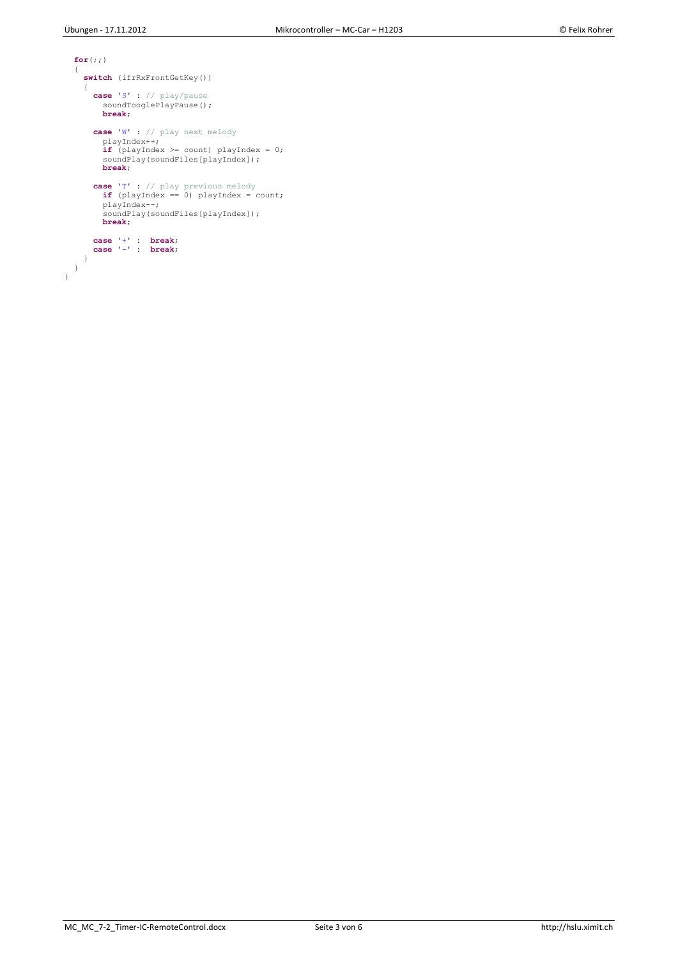```
 for(;;) 
  { 
     switch (ifrRxFrontGetKey())
     { 
 case 'S' : // play/pause
soundTooglePlayPause();
         break;
 case 'W' : // play next melody
 playIndex++;
         if (playIndex >= count) playIndex = 0;
         soundPlay(soundFiles[playIndex]);
         break;
 case 'T' : // play previous melody
 if (playIndex == 0) playIndex = count;
 playIndex--;
 soundPlay(soundFiles[playIndex]);
         break; 
 case '+' : break;
 case '-' : break;
}<br>}<br>}
```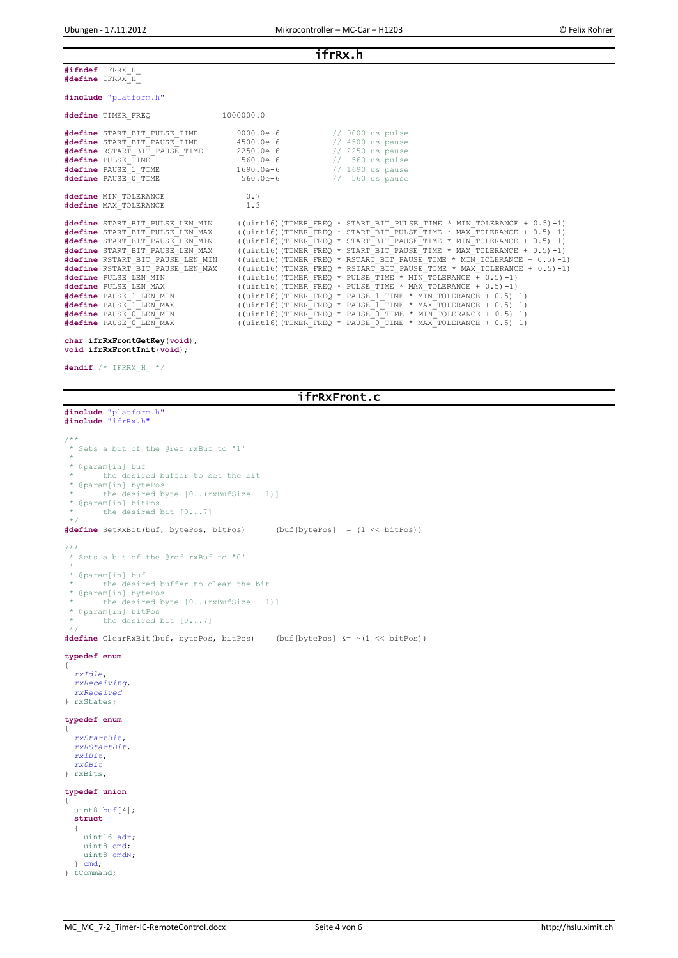ifrRx.h

**#ifndef** IFRRX\_H\_ **#define** IFRRX\_H\_

### **#include** "platform.h"

| #define TIMER FREQ                                                                                                                                                                                                                                                                                                                                                             | 1000000.0                                                                                                                                                                                                                                                                                                                                                                                                                                                                                                                                                                                                                                                                                                                                                                                                                                                                                                      |
|--------------------------------------------------------------------------------------------------------------------------------------------------------------------------------------------------------------------------------------------------------------------------------------------------------------------------------------------------------------------------------|----------------------------------------------------------------------------------------------------------------------------------------------------------------------------------------------------------------------------------------------------------------------------------------------------------------------------------------------------------------------------------------------------------------------------------------------------------------------------------------------------------------------------------------------------------------------------------------------------------------------------------------------------------------------------------------------------------------------------------------------------------------------------------------------------------------------------------------------------------------------------------------------------------------|
| #define START BIT PAUSE TIME 4500.0e-6<br>#define RSTART BIT PAUSE TIME 2250.0e-6<br>#define PULSE TIME<br>#define PAUSE 1 TIME<br>#define PAUSE 0 TIME                                                                                                                                                                                                                        | #define START BIT PULSE TIME 9000.0e-6 // 9000 us pulse<br>$\frac{1}{4500}$ us pause<br>$\frac{1}{2250}$ us pause<br>560.0e-6 // 560 us pulse<br>$1690.0e-6$<br>$\frac{1}{1690}$ us pause<br>$\frac{1}{560}$ us pause<br>$560.0e-6$                                                                                                                                                                                                                                                                                                                                                                                                                                                                                                                                                                                                                                                                            |
| #define MIN TOLERANCE                                                                                                                                                                                                                                                                                                                                                          | 0.7                                                                                                                                                                                                                                                                                                                                                                                                                                                                                                                                                                                                                                                                                                                                                                                                                                                                                                            |
| #define MAX TOLERANCE                                                                                                                                                                                                                                                                                                                                                          | 1.3                                                                                                                                                                                                                                                                                                                                                                                                                                                                                                                                                                                                                                                                                                                                                                                                                                                                                                            |
| #define START BIT PULSE LEN MIN<br>#define START BIT PULSE LEN MAX<br>#define START BIT PAUSE LEN MIN<br>#define START BIT PAUSE LEN MAX<br>#define RSTART BIT PAUSE LEN MIN<br>#define RSTART BIT PAUSE LEN MAX<br>#define PULSE LEN MIN<br>#define PULSE LEN MAX<br>#define PAUSE 1 LEN MIN<br>#define PAUSE 1 LEN MAX<br>#define PAUSE 0 LEN MIN<br>#define PAUSE 0 LEN MAX | ((uint16) (TIMER FREQ * START BIT PULSE TIME * MIN TOLERANCE + $0.5$ )-1)<br>((uint16) (TIMER FREO * START BIT PULSE TIME * MAX TOLERANCE + $0.5$ ) -1)<br>((uint16) (TIMER FREQ * START BIT PAUSE TIME * MIN TOLERANCE + $0.5$ ) -1)<br>((uint16) (TIMER FREQ * START BIT PAUSE TIME * MAX TOLERANCE + $0.5$ ) -1)<br>((uint16) (TIMER FREQ * RSTART BIT PAUSE TIME * MIN TOLERANCE + $0.5$ ) -1)<br>((uint16) (TIMER FREQ * RSTART BIT PAUSE TIME * MAX TOLERANCE + $0.5$ ) -1)<br>((uint16) (TIMER FREQ * PULSE TIME * MIN TOLERANCE + $0.5$ ) -1)<br>((uint16) (TIMER FREQ * PULSE TIME * MAX TOLERANCE + $0.5$ ) -1)<br>((uint16) (TIMER FREQ * PAUSE 1 TIME * MIN TOLERANCE + $0.5$ ) -1)<br>((uint16) (TIMER FREQ * PAUSE 1 TIME * MAX TOLERANCE + $0.5$ ) -1)<br>((uint16) (TIMER FREQ * PAUSE 0 TIME * MIN TOLERANCE + $0.5$ )-1)<br>((uint16)(TIMER FREO * PAUSE 0 TIME * MAX TOLERANCE + $0.5$ )-1) |

#### **char ifrRxFrontGetKey**(**void**); **void ifrRxFrontInit**(**void**);

**#endif** /\* IFRRX\_H\_ \*/

### ifrRxFront.c

# **#include** "platform.h" **#include** "ifrRx.h"

```
/**
* Sets a bit of the @ref rxBuf to '1'
 *
* @param[in] buf
       the desired buffer to set the bit
 * @param[in] bytePos
        the desired byte [0..(rxBufSize - 1)]
  * @param[in] bitPos
       the desired bit [0...7]*/
#define SetRxBit(buf, bytePos, bitPos) (buf[bytePos] |= (1 << bitPos))
/\star\,\star* Sets a bit of the @ref rxBuf to '0'
 *
* @param[in] buf
        the desired buffer to clear the bit
 * @param[in] bytePos
       the desired byte [0..(rxBufSize - 1)]* @param[in] bitPos
* the desired bit [0...7]
 */
#define ClearRxBit(buf, bytePos, bitPos) (buf[bytePos] &= ~(1 << bitPos))

typedef enum
{
  rxIdle,
   rxReceiving,
   rxReceived
} rxStates;
typedef enum
{
  rxStartBit,
   rxRStartBit,
   rx1Bit,
   rx0Bit
} rxBits;
typedef union
{
 uint8 buf[4];
   struct
   {
```
 uint16 adr; uint8 cmd; uint8 cmdN; } cmd; } tCommand;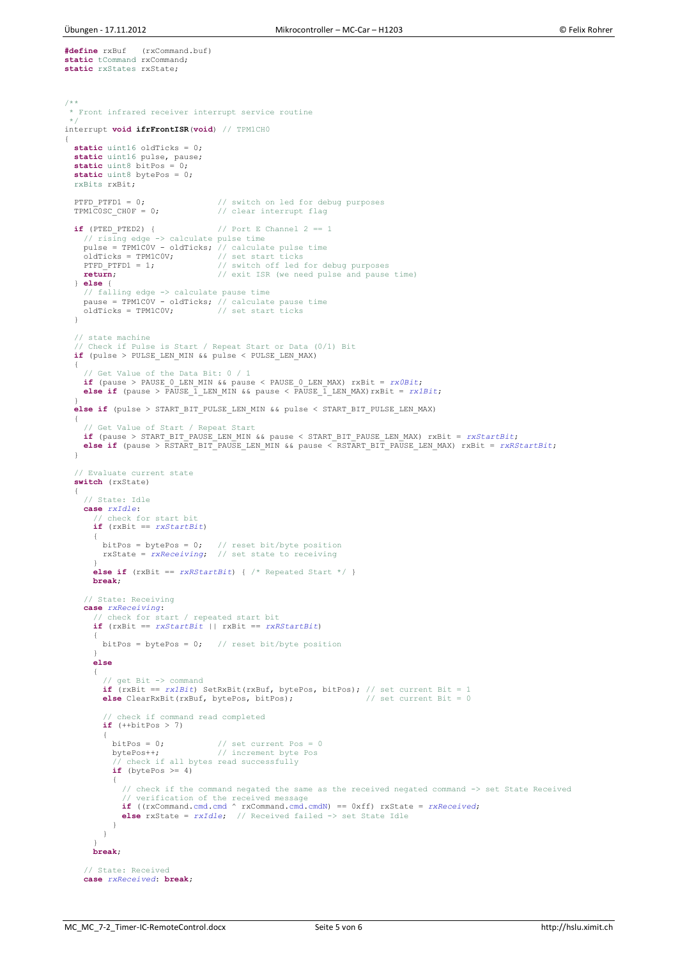**#define** rxBuf (rxCommand.buf) **static** tCommand rxCommand; **static** rxStates rxState;

```
/**
* Front infrared receiver interrupt service routine
  */
interrupt void ifrFrontISR(void) // TPM1CH0
{
  static uint16 oldTicks = 0;
  static uint16 pulse, pause;<br>static uint8 bitPos = 0:
   static uint8 bitPos
    static uint8 bytePos = 0;
   rxBits rxBit;
  PTFD_PTFD1 = 0;<br>
\frac{1}{2} // switch on led for debug purposes<br>
\frac{1}{2} TPM1COSC CHOF = 0;<br>
\frac{1}{2} // clear interrupt flag
                                               The compact of the compact of the compact of the compact of the compact of the compact of the compact of the compact of the compact of the compact of the compact of the compact of the compact of the compact of the compact 
   \textbf{if} (PTED PTED2) { // Port E Channel 2 == 1
       // rising edge -> calculate pulse time
     pulse = TPM1C0V - oldTicks; // calculate pulse time
      oldTicks = TPM1C0V;<br>PTFD PTFD1 = 1;
                                            or the contract of the contract of the text of the start ticks<br>
The start sides of the start of the start of the start of the start and purposes
      return; \frac{1}{2} // exit ISR (we need pulse and pause time)
    } else {
 // falling edge -> calculate pause time
 pause = TPM1C0V - oldTicks; // calculate pause time
 oldTicks = TPM1C0V; // set start ticks
    }
    // state machine
 // Check if Pulse is Start / Repeat Start or Data (0/1) Bit
 if (pulse > PULSE_LEN_MIN && pulse < PULSE_LEN_MAX)
    {
 // Get Value of the Data Bit: 0 / 1
 if (pause > PAUSE_0_LEN_MIN && pause < PAUSE_0_LEN_MAX) rxBit = rx0Bit;
       else if (pause > PAUSE_1_LEN_MIN && pause < PAUSE_1_LEN_MAX)rxBit = rx1Bit;
\qquad \qquad else if (pulse > START_BIT_PULSE_LEN_MIN && pulse < START_BIT_PULSE_LEN_MAX)
\qquad \qquad // Get Value of Start / Repeat Start
if (pause > START_BIT_PAUSE_LEN_MIN && pause < START_BIT_PAUSE_LEN_MAX) rxBit = rxStartBit;<br>else if (pause > RSTART BIT_PAUSE_LEN_MIN && pause < RSTART BIT_PAUSE_LEN_MAX) rxBit = rxRStartBit;
\rightarrow // Evaluate current state
    switch (rxState)
\overline{\phantom{a}} // State: Idle
       case rxIdle:
          // check for start bit
          if (rxBit == rxStartBit)
          {
 bitPos = bytePos = 0; // reset bit/byte position
 rxState = rxReceiving; // set state to receiving 
 }
          else if (rxBit == rxRStartBit) { /* Repeated Start */ }
         break;
       // State: Receiving
       case rxReceiving:
 // check for start / repeated start bit
 if (rxBit == rxStartBit || rxBit == rxRStartBit)
          {
           bitPos = bytePos = 0; // reset bit/byte position
 }
          else
          {
             // get Bit -> command
             if (rxBit == rx1Bit) SetRxBit(rxBuf, bytePos, bitPos); // set current Bit = 1
             else ClearRxBit(rxBuf, bytePos, bitPos); // set current Bit = 0
             // check if command read completed
             if (++bitPos > 7)
\left\{ \begin{array}{cc} 0 & 0 \\ 0 & 0 \end{array} \right\}bitPos = 0; // set current Pos = 0<br>bytePos++; // increment byte Pos
bytePos<sup>++</sup>; // increment byte Pos<br>// check if all bytes read successfully<br>if (bytePos >= 4)
                {
                   // check if the command negated the same as the received negated command -> set State Received
 // verification of the received message
 if ((rxCommand.cmd.cmd ^ rxCommand.cmd.cmdN) == 0xff) rxState = rxReceived;
 else rxState = rxIdle; // Received failed -> set State Idle
               }
            }
 }
         break;
       // State: Received
       case rxReceived: break;
```